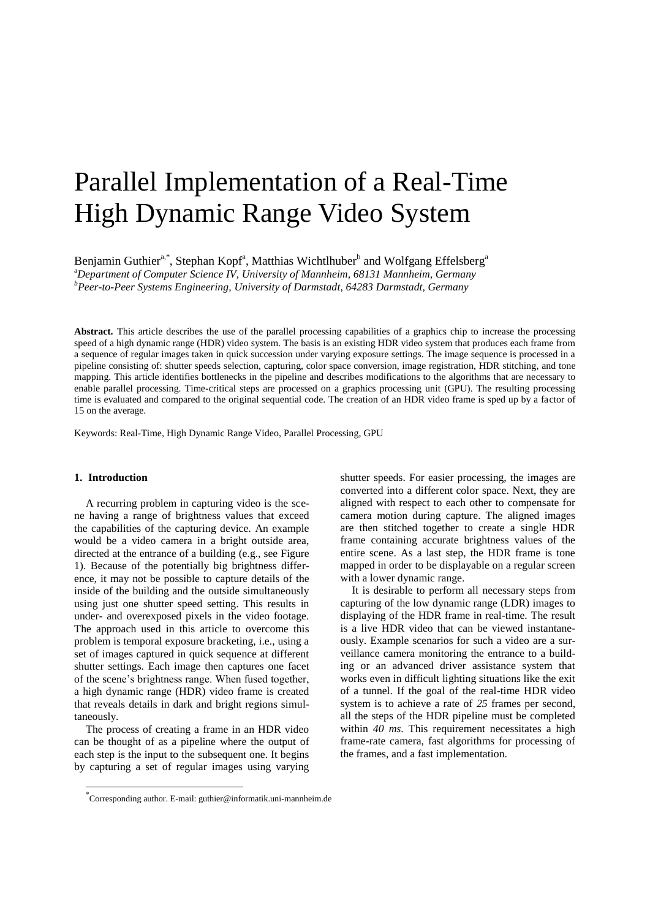# Parallel Implementation of a Real-Time High Dynamic Range Video System

Benjamin Guthier<sup>a,\*</sup>, Stephan Kopf<sup>a</sup>, Matthias Wichtlhuber<sup>b</sup> and Wolfgang Effelsberg<sup>a</sup> <sup>a</sup>*Department of Computer Science IV, University of Mannheim, 68131 Mannheim, Germany <sup>b</sup>Peer-to-Peer Systems Engineering, University of Darmstadt, 64283 Darmstadt, Germany*

**Abstract.** This article describes the use of the parallel processing capabilities of a graphics chip to increase the processing speed of a high dynamic range (HDR) video system. The basis is an existing HDR video system that produces each frame from a sequence of regular images taken in quick succession under varying exposure settings. The image sequence is processed in a pipeline consisting of: shutter speeds selection, capturing, color space conversion, image registration, HDR stitching, and tone mapping. This article identifies bottlenecks in the pipeline and describes modifications to the algorithms that are necessary to enable parallel processing. Time-critical steps are processed on a graphics processing unit (GPU). The resulting processing time is evaluated and compared to the original sequential code. The creation of an HDR video frame is sped up by a factor of 15 on the average.

Keywords: Real-Time, High Dynamic Range Video, Parallel Processing, GPU

#### **1. Introduction**

l

A recurring problem in capturing video is the scene having a range of brightness values that exceed the capabilities of the capturing device. An example would be a video camera in a bright outside area, directed at the entrance of a building (e.g., see Figure 1). Because of the potentially big brightness difference, it may not be possible to capture details of the inside of the building and the outside simultaneously using just one shutter speed setting. This results in under- and overexposed pixels in the video footage. The approach used in this article to overcome this problem is temporal exposure bracketing, i.e., using a set of images captured in quick sequence at different shutter settings. Each image then captures one facet of the scene's brightness range. When fused together, a high dynamic range (HDR) video frame is created that reveals details in dark and bright regions simultaneously.

The process of creating a frame in an HDR video can be thought of as a pipeline where the output of each step is the input to the subsequent one. It begins by capturing a set of regular images using varying shutter speeds. For easier processing, the images are converted into a different color space. Next, they are aligned with respect to each other to compensate for camera motion during capture. The aligned images are then stitched together to create a single HDR frame containing accurate brightness values of the entire scene. As a last step, the HDR frame is tone mapped in order to be displayable on a regular screen with a lower dynamic range.

It is desirable to perform all necessary steps from capturing of the low dynamic range (LDR) images to displaying of the HDR frame in real-time. The result is a live HDR video that can be viewed instantaneously. Example scenarios for such a video are a surveillance camera monitoring the entrance to a building or an advanced driver assistance system that works even in difficult lighting situations like the exit of a tunnel. If the goal of the real-time HDR video system is to achieve a rate of *25* frames per second, all the steps of the HDR pipeline must be completed within *40 ms*. This requirement necessitates a high frame-rate camera, fast algorithms for processing of the frames, and a fast implementation.

<sup>\*</sup> Corresponding author. E-mail: guthier@informatik.uni-mannheim.de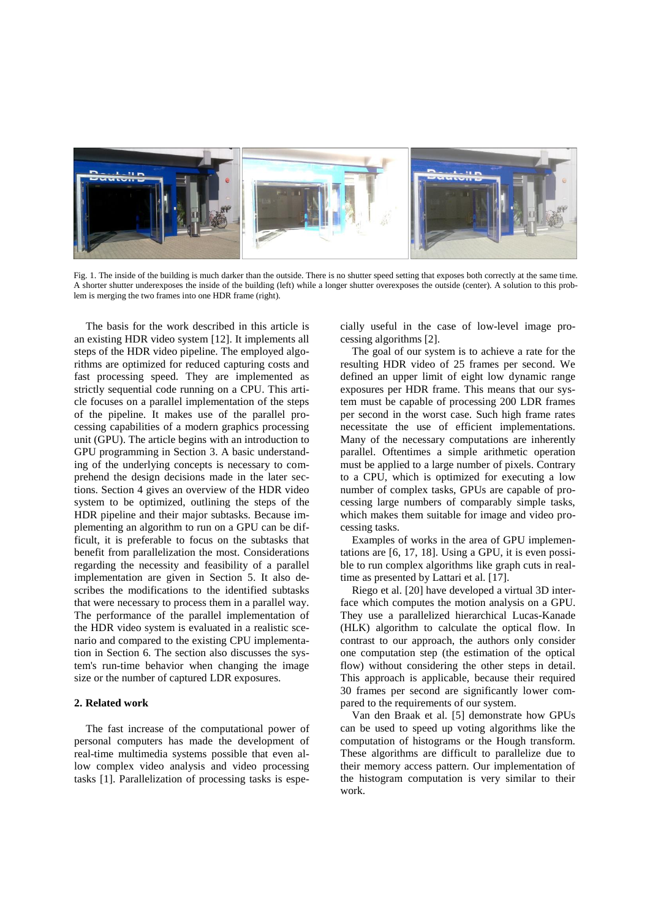

Fig. 1. The inside of the building is much darker than the outside. There is no shutter speed setting that exposes both correctly at the same time. A shorter shutter underexposes the inside of the building (left) while a longer shutter overexposes the outside (center). A solution to this problem is merging the two frames into one HDR frame (right).

The basis for the work described in this article is an existing HDR video system [12]. It implements all steps of the HDR video pipeline. The employed algorithms are optimized for reduced capturing costs and fast processing speed. They are implemented as strictly sequential code running on a CPU. This article focuses on a parallel implementation of the steps of the pipeline. It makes use of the parallel processing capabilities of a modern graphics processing unit (GPU). The article begins with an introduction to GPU programming in Section 3. A basic understanding of the underlying concepts is necessary to comprehend the design decisions made in the later sections. Section 4 gives an overview of the HDR video system to be optimized, outlining the steps of the HDR pipeline and their major subtasks. Because implementing an algorithm to run on a GPU can be difficult, it is preferable to focus on the subtasks that benefit from parallelization the most. Considerations regarding the necessity and feasibility of a parallel implementation are given in Section 5. It also describes the modifications to the identified subtasks that were necessary to process them in a parallel way. The performance of the parallel implementation of the HDR video system is evaluated in a realistic scenario and compared to the existing CPU implementation in Section 6. The section also discusses the system's run-time behavior when changing the image size or the number of captured LDR exposures.

# **2. Related work**

The fast increase of the computational power of personal computers has made the development of real-time multimedia systems possible that even allow complex video analysis and video processing tasks [1]. Parallelization of processing tasks is especially useful in the case of low-level image processing algorithms [2].

The goal of our system is to achieve a rate for the resulting HDR video of 25 frames per second. We defined an upper limit of eight low dynamic range exposures per HDR frame. This means that our system must be capable of processing 200 LDR frames per second in the worst case. Such high frame rates necessitate the use of efficient implementations. Many of the necessary computations are inherently parallel. Oftentimes a simple arithmetic operation must be applied to a large number of pixels. Contrary to a CPU, which is optimized for executing a low number of complex tasks, GPUs are capable of processing large numbers of comparably simple tasks, which makes them suitable for image and video processing tasks.

Examples of works in the area of GPU implementations are [6, 17, 18]. Using a GPU, it is even possible to run complex algorithms like graph cuts in realtime as presented by Lattari et al. [17].

Riego et al. [20] have developed a virtual 3D interface which computes the motion analysis on a GPU. They use a parallelized hierarchical Lucas-Kanade (HLK) algorithm to calculate the optical flow. In contrast to our approach, the authors only consider one computation step (the estimation of the optical flow) without considering the other steps in detail. This approach is applicable, because their required 30 frames per second are significantly lower compared to the requirements of our system.

Van den Braak et al. [5] demonstrate how GPUs can be used to speed up voting algorithms like the computation of histograms or the Hough transform. These algorithms are difficult to parallelize due to their memory access pattern. Our implementation of the histogram computation is very similar to their work.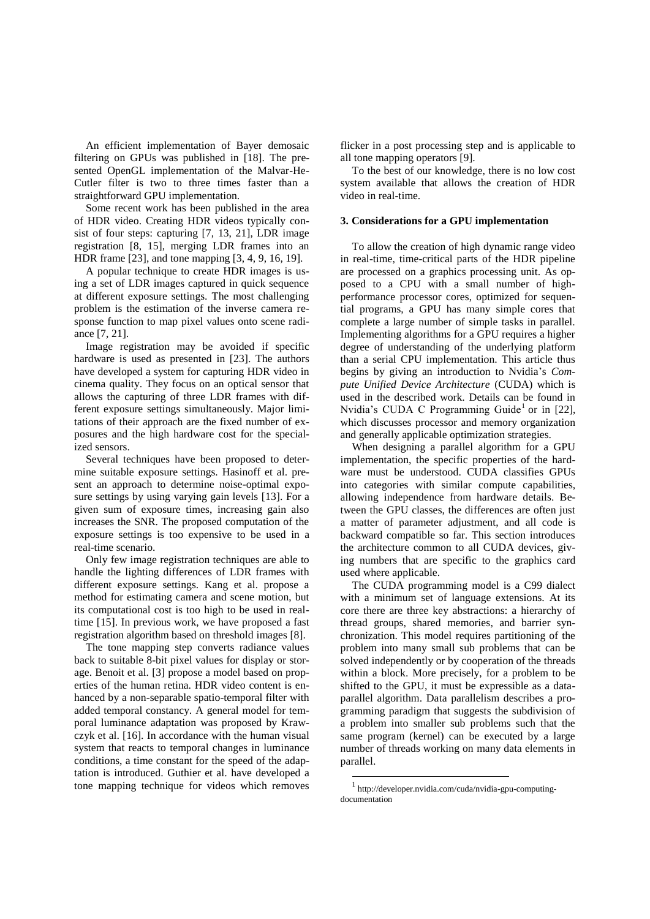An efficient implementation of Bayer demosaic filtering on GPUs was published in [18]. The presented OpenGL implementation of the Malvar-He-Cutler filter is two to three times faster than a straightforward GPU implementation.

Some recent work has been published in the area of HDR video. Creating HDR videos typically consist of four steps: capturing [7, 13, 21], LDR image registration [8, 15], merging LDR frames into an HDR frame [23], and tone mapping [3, 4, 9, 16, 19].

A popular technique to create HDR images is using a set of LDR images captured in quick sequence at different exposure settings. The most challenging problem is the estimation of the inverse camera response function to map pixel values onto scene radiance [7, 21].

Image registration may be avoided if specific hardware is used as presented in [23]. The authors have developed a system for capturing HDR video in cinema quality. They focus on an optical sensor that allows the capturing of three LDR frames with different exposure settings simultaneously. Major limitations of their approach are the fixed number of exposures and the high hardware cost for the specialized sensors.

Several techniques have been proposed to determine suitable exposure settings. Hasinoff et al. present an approach to determine noise-optimal exposure settings by using varying gain levels [13]. For a given sum of exposure times, increasing gain also increases the SNR. The proposed computation of the exposure settings is too expensive to be used in a real-time scenario.

Only few image registration techniques are able to handle the lighting differences of LDR frames with different exposure settings. Kang et al. propose a method for estimating camera and scene motion, but its computational cost is too high to be used in realtime [15]. In previous work, we have proposed a fast registration algorithm based on threshold images [8].

The tone mapping step converts radiance values back to suitable 8-bit pixel values for display or storage. Benoit et al. [3] propose a model based on properties of the human retina. HDR video content is enhanced by a non-separable spatio-temporal filter with added temporal constancy. A general model for temporal luminance adaptation was proposed by Krawczyk et al. [16]. In accordance with the human visual system that reacts to temporal changes in luminance conditions, a time constant for the speed of the adaptation is introduced. Guthier et al. have developed a tone mapping technique for videos which removes flicker in a post processing step and is applicable to all tone mapping operators [9].

To the best of our knowledge, there is no low cost system available that allows the creation of HDR video in real-time.

# **3. Considerations for a GPU implementation**

To allow the creation of high dynamic range video in real-time, time-critical parts of the HDR pipeline are processed on a graphics processing unit. As opposed to a CPU with a small number of highperformance processor cores, optimized for sequential programs, a GPU has many simple cores that complete a large number of simple tasks in parallel. Implementing algorithms for a GPU requires a higher degree of understanding of the underlying platform than a serial CPU implementation. This article thus begins by giving an introduction to Nvidia's *Compute Unified Device Architecture* (CUDA) which is used in the described work. Details can be found in Nvidia's CUDA C Programming Guide<sup>1</sup> or in [22], which discusses processor and memory organization and generally applicable optimization strategies.

When designing a parallel algorithm for a GPU implementation, the specific properties of the hardware must be understood. CUDA classifies GPUs into categories with similar compute capabilities, allowing independence from hardware details. Between the GPU classes, the differences are often just a matter of parameter adjustment, and all code is backward compatible so far. This section introduces the architecture common to all CUDA devices, giving numbers that are specific to the graphics card used where applicable.

The CUDA programming model is a C99 dialect with a minimum set of language extensions. At its core there are three key abstractions: a hierarchy of thread groups, shared memories, and barrier synchronization. This model requires partitioning of the problem into many small sub problems that can be solved independently or by cooperation of the threads within a block. More precisely, for a problem to be shifted to the GPU, it must be expressible as a dataparallel algorithm. Data parallelism describes a programming paradigm that suggests the subdivision of a problem into smaller sub problems such that the same program (kernel) can be executed by a large number of threads working on many data elements in parallel.

**.** 

<sup>1</sup> http://developer.nvidia.com/cuda/nvidia-gpu-computingdocumentation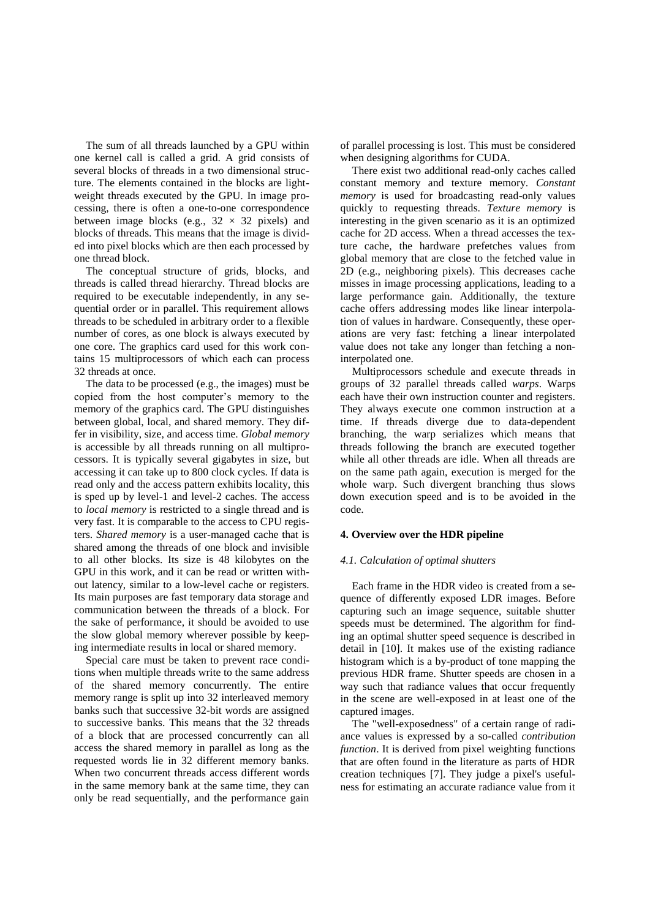The sum of all threads launched by a GPU within one kernel call is called a grid. A grid consists of several blocks of threads in a two dimensional structure. The elements contained in the blocks are lightweight threads executed by the GPU. In image processing, there is often a one-to-one correspondence between image blocks (e.g.,  $32 \times 32$  pixels) and blocks of threads. This means that the image is divided into pixel blocks which are then each processed by one thread block.

The conceptual structure of grids, blocks, and threads is called thread hierarchy. Thread blocks are required to be executable independently, in any sequential order or in parallel. This requirement allows threads to be scheduled in arbitrary order to a flexible number of cores, as one block is always executed by one core. The graphics card used for this work contains 15 multiprocessors of which each can process 32 threads at once.

The data to be processed (e.g., the images) must be copied from the host computer's memory to the memory of the graphics card. The GPU distinguishes between global, local, and shared memory. They differ in visibility, size, and access time. *Global memory* is accessible by all threads running on all multiprocessors. It is typically several gigabytes in size, but accessing it can take up to 800 clock cycles. If data is read only and the access pattern exhibits locality, this is sped up by level-1 and level-2 caches. The access to *local memory* is restricted to a single thread and is very fast. It is comparable to the access to CPU registers. *Shared memory* is a user-managed cache that is shared among the threads of one block and invisible to all other blocks. Its size is 48 kilobytes on the GPU in this work, and it can be read or written without latency, similar to a low-level cache or registers. Its main purposes are fast temporary data storage and communication between the threads of a block. For the sake of performance, it should be avoided to use the slow global memory wherever possible by keeping intermediate results in local or shared memory.

Special care must be taken to prevent race conditions when multiple threads write to the same address of the shared memory concurrently. The entire memory range is split up into 32 interleaved memory banks such that successive 32-bit words are assigned to successive banks. This means that the 32 threads of a block that are processed concurrently can all access the shared memory in parallel as long as the requested words lie in 32 different memory banks. When two concurrent threads access different words in the same memory bank at the same time, they can only be read sequentially, and the performance gain

of parallel processing is lost. This must be considered when designing algorithms for CUDA.

There exist two additional read-only caches called constant memory and texture memory. *Constant memory* is used for broadcasting read-only values quickly to requesting threads. *Texture memory* is interesting in the given scenario as it is an optimized cache for 2D access. When a thread accesses the texture cache, the hardware prefetches values from global memory that are close to the fetched value in 2D (e.g., neighboring pixels). This decreases cache misses in image processing applications, leading to a large performance gain. Additionally, the texture cache offers addressing modes like linear interpolation of values in hardware. Consequently, these operations are very fast: fetching a linear interpolated value does not take any longer than fetching a noninterpolated one.

Multiprocessors schedule and execute threads in groups of 32 parallel threads called *warps*. Warps each have their own instruction counter and registers. They always execute one common instruction at a time. If threads diverge due to data-dependent branching, the warp serializes which means that threads following the branch are executed together while all other threads are idle. When all threads are on the same path again, execution is merged for the whole warp. Such divergent branching thus slows down execution speed and is to be avoided in the code.

# **4. Overview over the HDR pipeline**

#### *4.1. Calculation of optimal shutters*

Each frame in the HDR video is created from a sequence of differently exposed LDR images. Before capturing such an image sequence, suitable shutter speeds must be determined. The algorithm for finding an optimal shutter speed sequence is described in detail in [10]. It makes use of the existing radiance histogram which is a by-product of tone mapping the previous HDR frame. Shutter speeds are chosen in a way such that radiance values that occur frequently in the scene are well-exposed in at least one of the captured images.

The "well-exposedness" of a certain range of radiance values is expressed by a so-called *contribution function*. It is derived from pixel weighting functions that are often found in the literature as parts of HDR creation techniques [7]. They judge a pixel's usefulness for estimating an accurate radiance value from it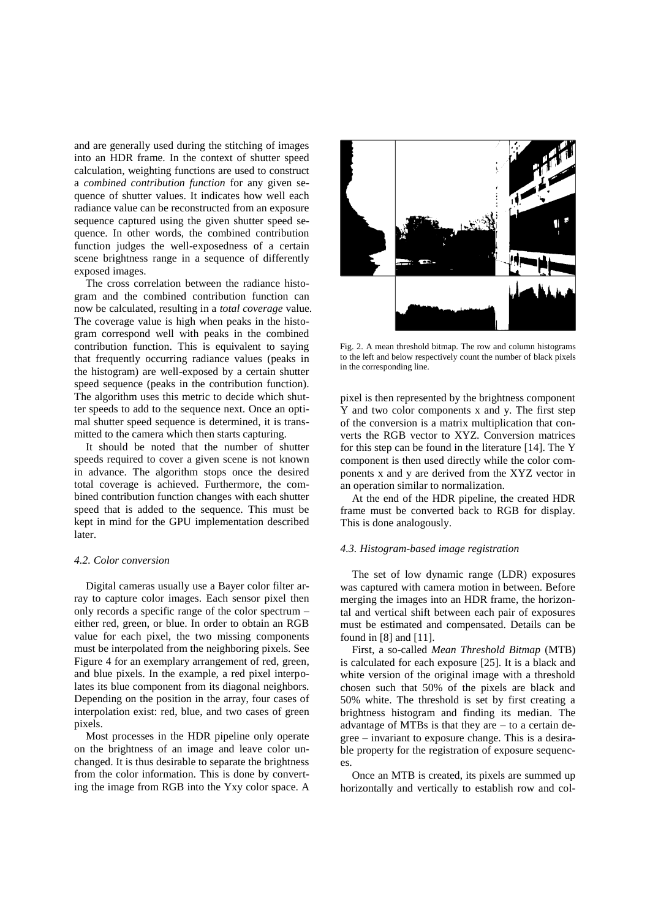and are generally used during the stitching of images into an HDR frame. In the context of shutter speed calculation, weighting functions are used to construct a *combined contribution function* for any given sequence of shutter values. It indicates how well each radiance value can be reconstructed from an exposure sequence captured using the given shutter speed sequence. In other words, the combined contribution function judges the well-exposedness of a certain scene brightness range in a sequence of differently exposed images.

The cross correlation between the radiance histogram and the combined contribution function can now be calculated, resulting in a *total coverage* value. The coverage value is high when peaks in the histogram correspond well with peaks in the combined contribution function. This is equivalent to saying that frequently occurring radiance values (peaks in the histogram) are well-exposed by a certain shutter speed sequence (peaks in the contribution function). The algorithm uses this metric to decide which shutter speeds to add to the sequence next. Once an optimal shutter speed sequence is determined, it is transmitted to the camera which then starts capturing.

It should be noted that the number of shutter speeds required to cover a given scene is not known in advance. The algorithm stops once the desired total coverage is achieved. Furthermore, the combined contribution function changes with each shutter speed that is added to the sequence. This must be kept in mind for the GPU implementation described later.

#### *4.2. Color conversion*

Digital cameras usually use a Bayer color filter array to capture color images. Each sensor pixel then only records a specific range of the color spectrum – either red, green, or blue. In order to obtain an RGB value for each pixel, the two missing components must be interpolated from the neighboring pixels. See Figure 4 for an exemplary arrangement of red, green, and blue pixels. In the example, a red pixel interpolates its blue component from its diagonal neighbors. Depending on the position in the array, four cases of interpolation exist: red, blue, and two cases of green pixels.

Most processes in the HDR pipeline only operate on the brightness of an image and leave color unchanged. It is thus desirable to separate the brightness from the color information. This is done by converting the image from RGB into the Yxy color space. A



Fig. 2. A mean threshold bitmap. The row and column histograms to the left and below respectively count the number of black pixels in the corresponding line.

pixel is then represented by the brightness component Y and two color components x and y. The first step of the conversion is a matrix multiplication that converts the RGB vector to XYZ. Conversion matrices for this step can be found in the literature [14]. The Y component is then used directly while the color components x and y are derived from the XYZ vector in an operation similar to normalization.

At the end of the HDR pipeline, the created HDR frame must be converted back to RGB for display. This is done analogously.

#### *4.3. Histogram-based image registration*

The set of low dynamic range (LDR) exposures was captured with camera motion in between. Before merging the images into an HDR frame, the horizontal and vertical shift between each pair of exposures must be estimated and compensated. Details can be found in [8] and [11].

First, a so-called *Mean Threshold Bitmap* (MTB) is calculated for each exposure [25]. It is a black and white version of the original image with a threshold chosen such that 50% of the pixels are black and 50% white. The threshold is set by first creating a brightness histogram and finding its median. The advantage of MTBs is that they are – to a certain degree – invariant to exposure change. This is a desirable property for the registration of exposure sequences.

Once an MTB is created, its pixels are summed up horizontally and vertically to establish row and col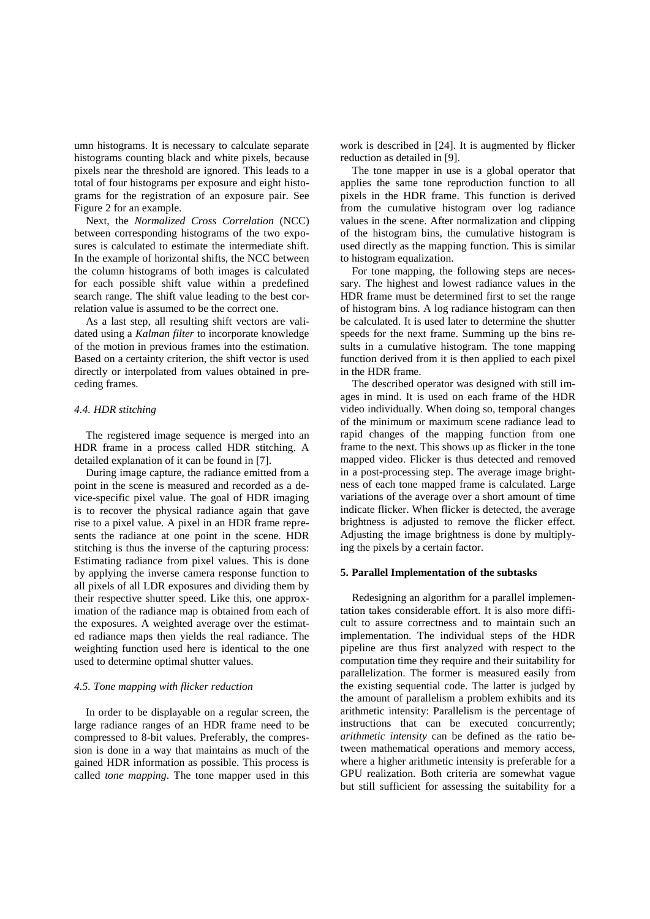umn histograms. It is necessary to calculate separate histograms counting black and white pixels, because pixels near the threshold are ignored. This leads to a total of four histograms per exposure and eight histograms for the registration of an exposure pair. See Figure 2 for an example.

Next, the *Normalized Cross Correlation* (NCC) between corresponding histograms of the two exposures is calculated to estimate the intermediate shift. In the example of horizontal shifts, the NCC between the column histograms of both images is calculated for each possible shift value within a predefined search range. The shift value leading to the best correlation value is assumed to be the correct one.

As a last step, all resulting shift vectors are validated using a *Kalman filter* to incorporate knowledge of the motion in previous frames into the estimation. Based on a certainty criterion, the shift vector is used directly or interpolated from values obtained in preceding frames.

# *4.4. HDR stitching*

The registered image sequence is merged into an HDR frame in a process called HDR stitching. A detailed explanation of it can be found in [7].

During image capture, the radiance emitted from a point in the scene is measured and recorded as a device-specific pixel value. The goal of HDR imaging is to recover the physical radiance again that gave rise to a pixel value. A pixel in an HDR frame represents the radiance at one point in the scene. HDR stitching is thus the inverse of the capturing process: Estimating radiance from pixel values. This is done by applying the inverse camera response function to all pixels of all LDR exposures and dividing them by their respective shutter speed. Like this, one approximation of the radiance map is obtained from each of the exposures. A weighted average over the estimated radiance maps then yields the real radiance. The weighting function used here is identical to the one used to determine optimal shutter values.

# *4.5. Tone mapping with flicker reduction*

In order to be displayable on a regular screen, the large radiance ranges of an HDR frame need to be compressed to 8-bit values. Preferably, the compression is done in a way that maintains as much of the gained HDR information as possible. This process is called *tone mapping*. The tone mapper used in this

work is described in [24]. It is augmented by flicker reduction as detailed in [9].

The tone mapper in use is a global operator that applies the same tone reproduction function to all pixels in the HDR frame. This function is derived from the cumulative histogram over log radiance values in the scene. After normalization and clipping of the histogram bins, the cumulative histogram is used directly as the mapping function. This is similar to histogram equalization.

For tone mapping, the following steps are necessary. The highest and lowest radiance values in the HDR frame must be determined first to set the range of histogram bins. A log radiance histogram can then be calculated. It is used later to determine the shutter speeds for the next frame. Summing up the bins results in a cumulative histogram. The tone mapping function derived from it is then applied to each pixel in the HDR frame.

The described operator was designed with still images in mind. It is used on each frame of the HDR video individually. When doing so, temporal changes of the minimum or maximum scene radiance lead to rapid changes of the mapping function from one frame to the next. This shows up as flicker in the tone mapped video. Flicker is thus detected and removed in a post-processing step. The average image brightness of each tone mapped frame is calculated. Large variations of the average over a short amount of time indicate flicker. When flicker is detected, the average brightness is adjusted to remove the flicker effect. Adjusting the image brightness is done by multiplying the pixels by a certain factor.

#### **5. Parallel Implementation of the subtasks**

Redesigning an algorithm for a parallel implementation takes considerable effort. It is also more difficult to assure correctness and to maintain such an implementation. The individual steps of the HDR pipeline are thus first analyzed with respect to the computation time they require and their suitability for parallelization. The former is measured easily from the existing sequential code. The latter is judged by the amount of parallelism a problem exhibits and its arithmetic intensity: Parallelism is the percentage of instructions that can be executed concurrently; *arithmetic intensity* can be defined as the ratio between mathematical operations and memory access, where a higher arithmetic intensity is preferable for a GPU realization. Both criteria are somewhat vague but still sufficient for assessing the suitability for a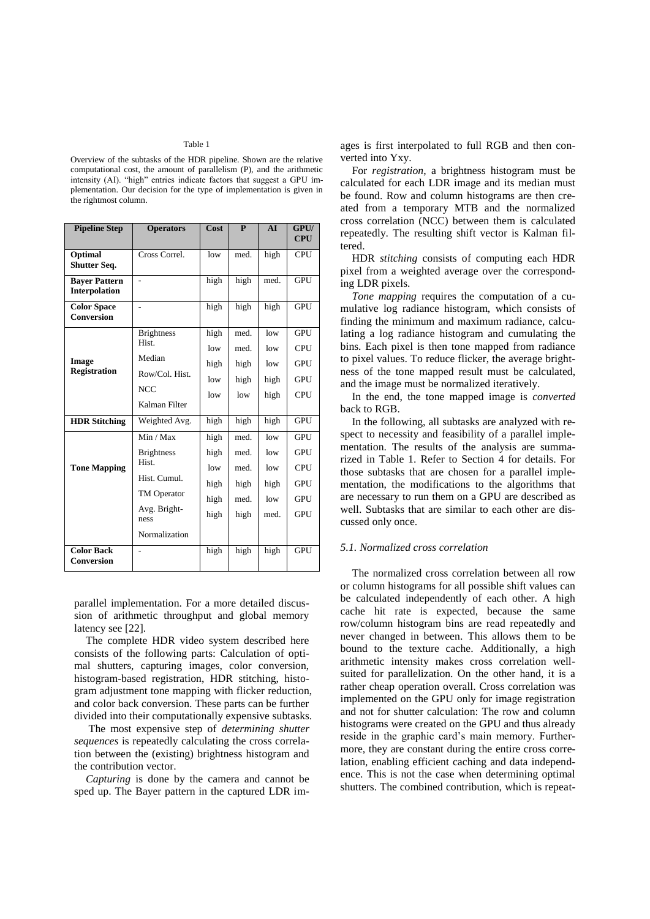#### Table 1

Overview of the subtasks of the HDR pipeline. Shown are the relative computational cost, the amount of parallelism (P), and the arithmetic intensity (AI). "high" entries indicate factors that suggest a GPU implementation. Our decision for the type of implementation is given in the rightmost column.

| <b>Pipeline Step</b>                    | <b>Operators</b>                                                                                                | Cost                                        | $\mathbf{P}$                                 | AI                                       | GPU/<br><b>CPU</b>                                                               |
|-----------------------------------------|-----------------------------------------------------------------------------------------------------------------|---------------------------------------------|----------------------------------------------|------------------------------------------|----------------------------------------------------------------------------------|
| Optimal<br>Shutter Seq.                 | Cross Correl.                                                                                                   | low                                         | med.                                         | high                                     | <b>CPU</b>                                                                       |
| <b>Bayer Pattern</b><br>Interpolation   | $\overline{a}$                                                                                                  | high                                        | high                                         | med.                                     | <b>GPU</b>                                                                       |
| <b>Color Space</b><br><b>Conversion</b> | $\overline{a}$                                                                                                  | high                                        | high                                         | high                                     | GPU                                                                              |
| Image<br><b>Registration</b>            | <b>Brightness</b><br>Hist.<br>Median<br>Row/Col. Hist.<br><b>NCC</b><br>Kalman Filter                           | high<br>low<br>high<br>low<br>low           | med.<br>med.<br>high<br>high<br>low          | low<br>low<br>low<br>high<br>high        | <b>GPU</b><br><b>CPU</b><br><b>GPU</b><br><b>GPU</b><br>CPU                      |
| <b>HDR</b> Stitching                    | Weighted Avg.                                                                                                   | high                                        | high                                         | high                                     | <b>GPU</b>                                                                       |
| <b>Tone Mapping</b>                     | Min / Max<br><b>Brightness</b><br>Hist.<br>Hist. Cumul.<br>TM Operator<br>Avg. Bright-<br>ness<br>Normalization | high<br>high<br>low<br>high<br>high<br>high | med.<br>med.<br>med.<br>high<br>med.<br>high | low<br>low<br>low<br>high<br>low<br>med. | <b>GPU</b><br><b>GPU</b><br><b>CPU</b><br><b>GPU</b><br><b>GPU</b><br><b>GPU</b> |
| <b>Color Back</b><br><b>Conversion</b>  |                                                                                                                 | high                                        | high                                         | high                                     | <b>GPU</b>                                                                       |

parallel implementation. For a more detailed discussion of arithmetic throughput and global memory latency see [22].

The complete HDR video system described here consists of the following parts: Calculation of optimal shutters, capturing images, color conversion, histogram-based registration, HDR stitching, histogram adjustment tone mapping with flicker reduction, and color back conversion. These parts can be further divided into their computationally expensive subtasks.

The most expensive step of *determining shutter sequences* is repeatedly calculating the cross correlation between the (existing) brightness histogram and the contribution vector.

*Capturing* is done by the camera and cannot be sped up. The Bayer pattern in the captured LDR images is first interpolated to full RGB and then converted into Yxy.

For *registration*, a brightness histogram must be calculated for each LDR image and its median must be found. Row and column histograms are then created from a temporary MTB and the normalized cross correlation (NCC) between them is calculated repeatedly. The resulting shift vector is Kalman filtered.

HDR *stitching* consists of computing each HDR pixel from a weighted average over the corresponding LDR pixels.

*Tone mapping* requires the computation of a cumulative log radiance histogram, which consists of finding the minimum and maximum radiance, calculating a log radiance histogram and cumulating the bins. Each pixel is then tone mapped from radiance to pixel values. To reduce flicker, the average brightness of the tone mapped result must be calculated, and the image must be normalized iteratively.

In the end, the tone mapped image is *converted* back to RGB.

In the following, all subtasks are analyzed with respect to necessity and feasibility of a parallel implementation. The results of the analysis are summarized in Table 1. Refer to Section 4 for details. For those subtasks that are chosen for a parallel implementation, the modifications to the algorithms that are necessary to run them on a GPU are described as well. Subtasks that are similar to each other are discussed only once.

#### *5.1. Normalized cross correlation*

The normalized cross correlation between all row or column histograms for all possible shift values can be calculated independently of each other. A high cache hit rate is expected, because the same row/column histogram bins are read repeatedly and never changed in between. This allows them to be bound to the texture cache. Additionally, a high arithmetic intensity makes cross correlation wellsuited for parallelization. On the other hand, it is a rather cheap operation overall. Cross correlation was implemented on the GPU only for image registration and not for shutter calculation: The row and column histograms were created on the GPU and thus already reside in the graphic card's main memory. Furthermore, they are constant during the entire cross correlation, enabling efficient caching and data independence. This is not the case when determining optimal shutters. The combined contribution, which is repeat-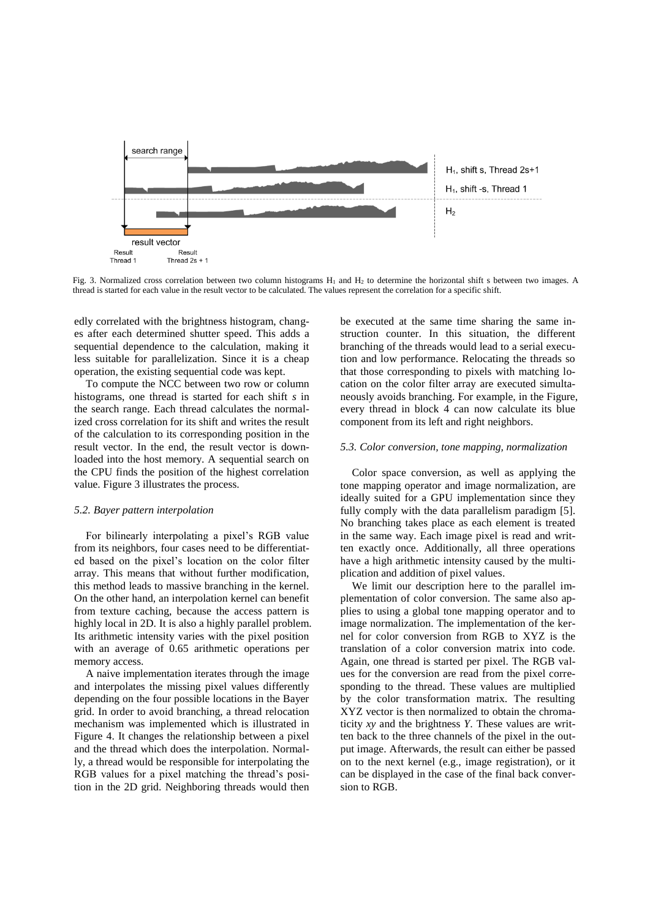

Fig. 3. Normalized cross correlation between two column histograms H<sub>1</sub> and H<sub>2</sub> to determine the horizontal shift s between two images. A thread is started for each value in the result vector to be calculated. The values represent the correlation for a specific shift.

edly correlated with the brightness histogram, changes after each determined shutter speed. This adds a sequential dependence to the calculation, making it less suitable for parallelization. Since it is a cheap operation, the existing sequential code was kept.

To compute the NCC between two row or column histograms, one thread is started for each shift *s* in the search range. Each thread calculates the normalized cross correlation for its shift and writes the result of the calculation to its corresponding position in the result vector. In the end, the result vector is downloaded into the host memory. A sequential search on the CPU finds the position of the highest correlation value. Figure 3 illustrates the process.

## *5.2. Bayer pattern interpolation*

For bilinearly interpolating a pixel's RGB value from its neighbors, four cases need to be differentiated based on the pixel's location on the color filter array. This means that without further modification, this method leads to massive branching in the kernel. On the other hand, an interpolation kernel can benefit from texture caching, because the access pattern is highly local in 2D. It is also a highly parallel problem. Its arithmetic intensity varies with the pixel position with an average of 0.65 arithmetic operations per memory access.

A naive implementation iterates through the image and interpolates the missing pixel values differently depending on the four possible locations in the Bayer grid. In order to avoid branching, a thread relocation mechanism was implemented which is illustrated in Figure 4. It changes the relationship between a pixel and the thread which does the interpolation. Normally, a thread would be responsible for interpolating the RGB values for a pixel matching the thread's position in the 2D grid. Neighboring threads would then

be executed at the same time sharing the same instruction counter. In this situation, the different branching of the threads would lead to a serial execution and low performance. Relocating the threads so that those corresponding to pixels with matching location on the color filter array are executed simultaneously avoids branching. For example, in the Figure, every thread in block 4 can now calculate its blue component from its left and right neighbors.

# *5.3. Color conversion, tone mapping, normalization*

Color space conversion, as well as applying the tone mapping operator and image normalization, are ideally suited for a GPU implementation since they fully comply with the data parallelism paradigm [5]. No branching takes place as each element is treated in the same way. Each image pixel is read and written exactly once. Additionally, all three operations have a high arithmetic intensity caused by the multiplication and addition of pixel values.

We limit our description here to the parallel implementation of color conversion. The same also applies to using a global tone mapping operator and to image normalization. The implementation of the kernel for color conversion from RGB to XYZ is the translation of a color conversion matrix into code. Again, one thread is started per pixel. The RGB values for the conversion are read from the pixel corresponding to the thread. These values are multiplied by the color transformation matrix. The resulting XYZ vector is then normalized to obtain the chromaticity *xy* and the brightness *Y*. These values are written back to the three channels of the pixel in the output image. Afterwards, the result can either be passed on to the next kernel (e.g., image registration), or it can be displayed in the case of the final back conversion to RGB.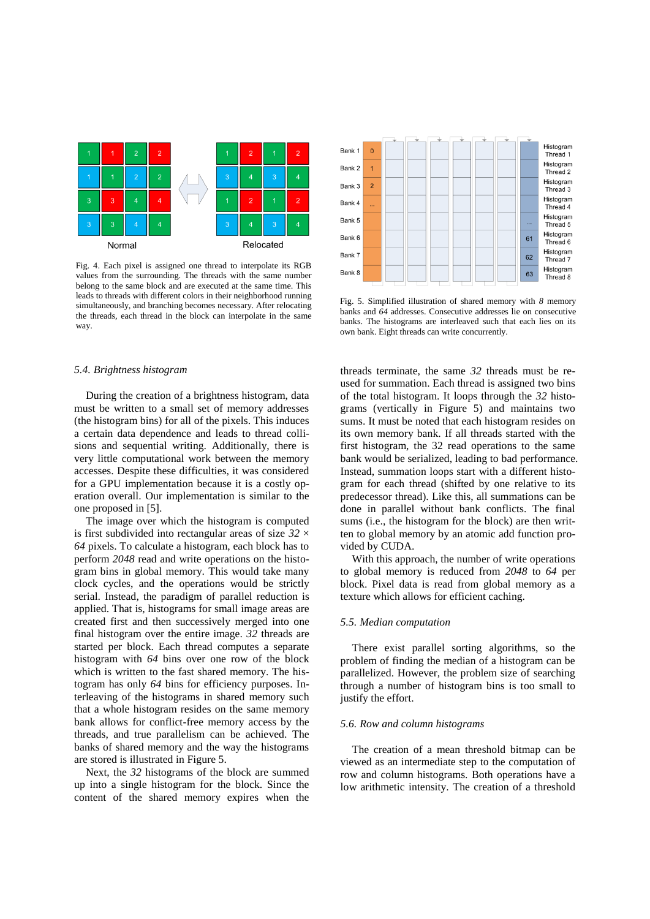

Fig. 4. Each pixel is assigned one thread to interpolate its RGB values from the surrounding. The threads with the same number belong to the same block and are executed at the same time. This leads to threads with different colors in their neighborhood running simultaneously, and branching becomes necessary. After relocating the threads, each thread in the block can interpolate in the same way.

# *5.4. Brightness histogram*

During the creation of a brightness histogram, data must be written to a small set of memory addresses (the histogram bins) for all of the pixels. This induces a certain data dependence and leads to thread collisions and sequential writing. Additionally, there is very little computational work between the memory accesses. Despite these difficulties, it was considered for a GPU implementation because it is a costly operation overall. Our implementation is similar to the one proposed in [5].

The image over which the histogram is computed is first subdivided into rectangular areas of size *32* × *64* pixels. To calculate a histogram, each block has to perform *2048* read and write operations on the histogram bins in global memory. This would take many clock cycles, and the operations would be strictly serial. Instead, the paradigm of parallel reduction is applied. That is, histograms for small image areas are created first and then successively merged into one final histogram over the entire image. *32* threads are started per block. Each thread computes a separate histogram with *64* bins over one row of the block which is written to the fast shared memory. The histogram has only *64* bins for efficiency purposes. Interleaving of the histograms in shared memory such that a whole histogram resides on the same memory bank allows for conflict-free memory access by the threads, and true parallelism can be achieved. The banks of shared memory and the way the histograms are stored is illustrated in Figure 5.

Next, the *32* histograms of the block are summed up into a single histogram for the block. Since the content of the shared memory expires when the



Fig. 5. Simplified illustration of shared memory with *8* memory banks and *64* addresses. Consecutive addresses lie on consecutive banks. The histograms are interleaved such that each lies on its own bank. Eight threads can write concurrently.

threads terminate, the same *32* threads must be reused for summation. Each thread is assigned two bins of the total histogram. It loops through the *32* histograms (vertically in Figure 5) and maintains two sums. It must be noted that each histogram resides on its own memory bank. If all threads started with the first histogram, the 32 read operations to the same bank would be serialized, leading to bad performance. Instead, summation loops start with a different histogram for each thread (shifted by one relative to its predecessor thread). Like this, all summations can be done in parallel without bank conflicts. The final sums (i.e., the histogram for the block) are then written to global memory by an atomic add function provided by CUDA.

With this approach, the number of write operations to global memory is reduced from *2048* to *64* per block. Pixel data is read from global memory as a texture which allows for efficient caching.

## *5.5. Median computation*

There exist parallel sorting algorithms, so the problem of finding the median of a histogram can be parallelized. However, the problem size of searching through a number of histogram bins is too small to justify the effort.

# *5.6. Row and column histograms*

The creation of a mean threshold bitmap can be viewed as an intermediate step to the computation of row and column histograms. Both operations have a low arithmetic intensity. The creation of a threshold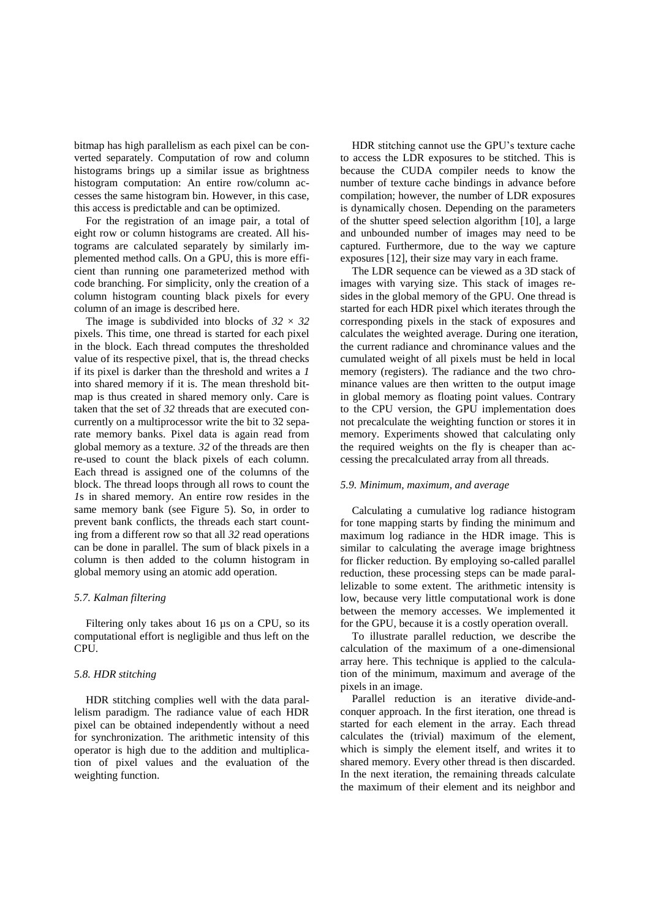bitmap has high parallelism as each pixel can be converted separately. Computation of row and column histograms brings up a similar issue as brightness histogram computation: An entire row/column accesses the same histogram bin. However, in this case, this access is predictable and can be optimized.

For the registration of an image pair, a total of eight row or column histograms are created. All histograms are calculated separately by similarly implemented method calls. On a GPU, this is more efficient than running one parameterized method with code branching. For simplicity, only the creation of a column histogram counting black pixels for every column of an image is described here.

The image is subdivided into blocks of  $32 \times 32$ pixels. This time, one thread is started for each pixel in the block. Each thread computes the thresholded value of its respective pixel, that is, the thread checks if its pixel is darker than the threshold and writes a *1* into shared memory if it is. The mean threshold bitmap is thus created in shared memory only. Care is taken that the set of *32* threads that are executed concurrently on a multiprocessor write the bit to 32 separate memory banks. Pixel data is again read from global memory as a texture. *32* of the threads are then re-used to count the black pixels of each column. Each thread is assigned one of the columns of the block. The thread loops through all rows to count the *1*s in shared memory. An entire row resides in the same memory bank (see Figure 5). So, in order to prevent bank conflicts, the threads each start counting from a different row so that all *32* read operations can be done in parallel. The sum of black pixels in a column is then added to the column histogram in global memory using an atomic add operation.

# *5.7. Kalman filtering*

Filtering only takes about 16 µs on a CPU, so its computational effort is negligible and thus left on the CPU.

# *5.8. HDR stitching*

HDR stitching complies well with the data parallelism paradigm. The radiance value of each HDR pixel can be obtained independently without a need for synchronization. The arithmetic intensity of this operator is high due to the addition and multiplication of pixel values and the evaluation of the weighting function.

HDR stitching cannot use the GPU's texture cache to access the LDR exposures to be stitched. This is because the CUDA compiler needs to know the number of texture cache bindings in advance before compilation; however, the number of LDR exposures is dynamically chosen. Depending on the parameters of the shutter speed selection algorithm [10], a large and unbounded number of images may need to be captured. Furthermore, due to the way we capture exposures [12], their size may vary in each frame.

The LDR sequence can be viewed as a 3D stack of images with varying size. This stack of images resides in the global memory of the GPU. One thread is started for each HDR pixel which iterates through the corresponding pixels in the stack of exposures and calculates the weighted average. During one iteration, the current radiance and chrominance values and the cumulated weight of all pixels must be held in local memory (registers). The radiance and the two chrominance values are then written to the output image in global memory as floating point values. Contrary to the CPU version, the GPU implementation does not precalculate the weighting function or stores it in memory. Experiments showed that calculating only the required weights on the fly is cheaper than accessing the precalculated array from all threads.

# *5.9. Minimum, maximum, and average*

Calculating a cumulative log radiance histogram for tone mapping starts by finding the minimum and maximum log radiance in the HDR image. This is similar to calculating the average image brightness for flicker reduction. By employing so-called parallel reduction, these processing steps can be made parallelizable to some extent. The arithmetic intensity is low, because very little computational work is done between the memory accesses. We implemented it for the GPU, because it is a costly operation overall.

To illustrate parallel reduction, we describe the calculation of the maximum of a one-dimensional array here. This technique is applied to the calculation of the minimum, maximum and average of the pixels in an image.

Parallel reduction is an iterative divide-andconquer approach. In the first iteration, one thread is started for each element in the array. Each thread calculates the (trivial) maximum of the element, which is simply the element itself, and writes it to shared memory. Every other thread is then discarded. In the next iteration, the remaining threads calculate the maximum of their element and its neighbor and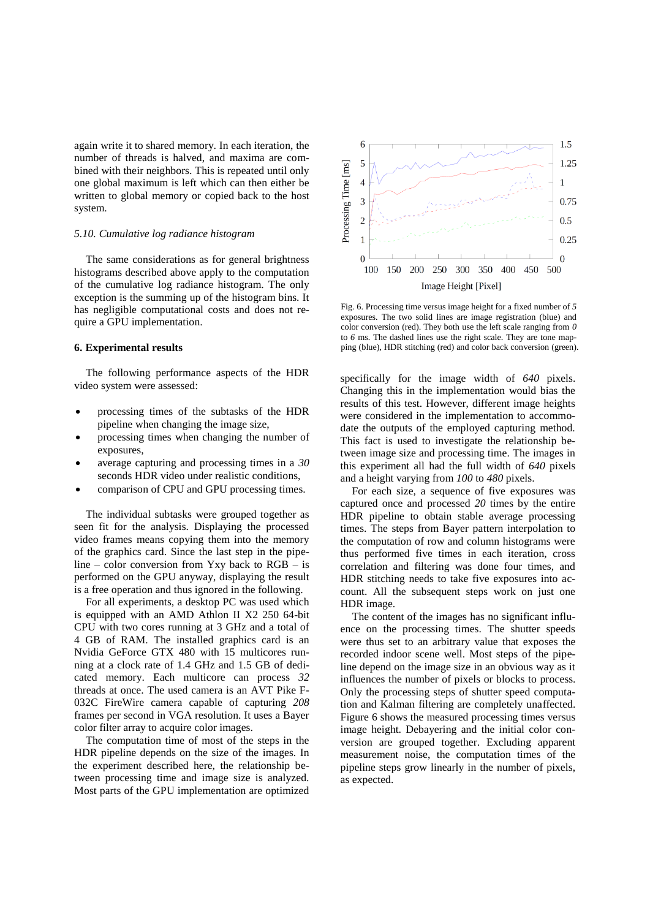again write it to shared memory. In each iteration, the number of threads is halved, and maxima are combined with their neighbors. This is repeated until only one global maximum is left which can then either be written to global memory or copied back to the host system.

# *5.10. Cumulative log radiance histogram*

The same considerations as for general brightness histograms described above apply to the computation of the cumulative log radiance histogram. The only exception is the summing up of the histogram bins. It has negligible computational costs and does not require a GPU implementation.

# **6. Experimental results**

The following performance aspects of the HDR video system were assessed:

- processing times of the subtasks of the HDR pipeline when changing the image size,
- processing times when changing the number of exposures,
- average capturing and processing times in a *30* seconds HDR video under realistic conditions,
- comparison of CPU and GPU processing times.

The individual subtasks were grouped together as seen fit for the analysis. Displaying the processed video frames means copying them into the memory of the graphics card. Since the last step in the pipeline – color conversion from Yxy back to RGB – is performed on the GPU anyway, displaying the result is a free operation and thus ignored in the following.

For all experiments, a desktop PC was used which is equipped with an AMD Athlon II X2 250 64-bit CPU with two cores running at 3 GHz and a total of 4 GB of RAM. The installed graphics card is an Nvidia GeForce GTX 480 with 15 multicores running at a clock rate of 1.4 GHz and 1.5 GB of dedicated memory. Each multicore can process *32* threads at once. The used camera is an AVT Pike F-032C FireWire camera capable of capturing *208* frames per second in VGA resolution. It uses a Bayer color filter array to acquire color images.

The computation time of most of the steps in the HDR pipeline depends on the size of the images. In the experiment described here, the relationship between processing time and image size is analyzed. Most parts of the GPU implementation are optimized



Fig. 6. Processing time versus image height for a fixed number of *5* exposures. The two solid lines are image registration (blue) and color conversion (red). They both use the left scale ranging from *0* to *6* ms. The dashed lines use the right scale. They are tone mapping (blue), HDR stitching (red) and color back conversion (green).

specifically for the image width of *640* pixels. Changing this in the implementation would bias the results of this test. However, different image heights were considered in the implementation to accommodate the outputs of the employed capturing method. This fact is used to investigate the relationship between image size and processing time. The images in this experiment all had the full width of *640* pixels and a height varying from *100* to *480* pixels.

For each size, a sequence of five exposures was captured once and processed *20* times by the entire HDR pipeline to obtain stable average processing times. The steps from Bayer pattern interpolation to the computation of row and column histograms were thus performed five times in each iteration, cross correlation and filtering was done four times, and HDR stitching needs to take five exposures into account. All the subsequent steps work on just one HDR image.

The content of the images has no significant influence on the processing times. The shutter speeds were thus set to an arbitrary value that exposes the recorded indoor scene well. Most steps of the pipeline depend on the image size in an obvious way as it influences the number of pixels or blocks to process. Only the processing steps of shutter speed computation and Kalman filtering are completely unaffected. Figure 6 shows the measured processing times versus image height. Debayering and the initial color conversion are grouped together. Excluding apparent measurement noise, the computation times of the pipeline steps grow linearly in the number of pixels, as expected.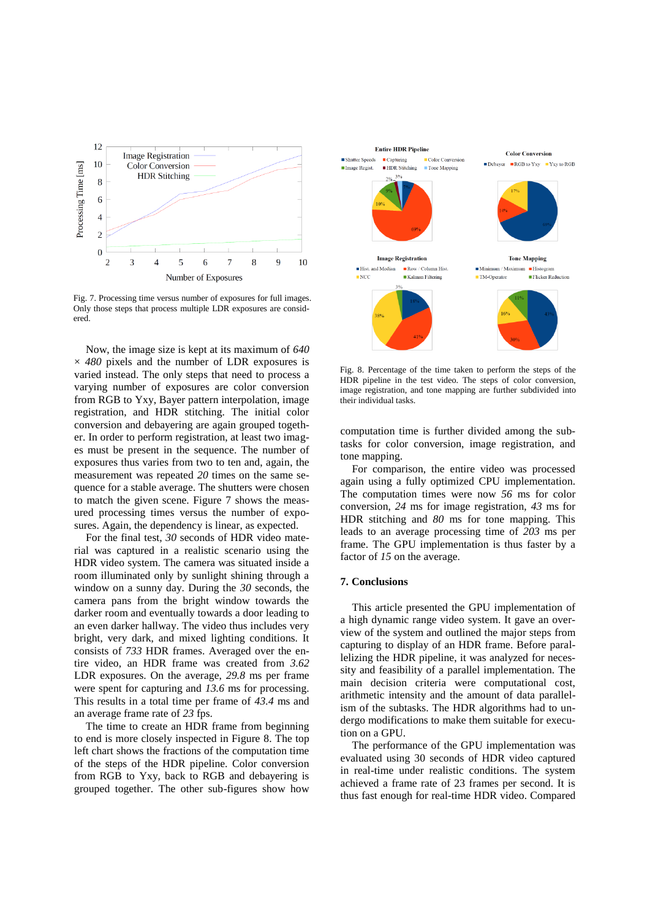

Fig. 7. Processing time versus number of exposures for full images. Only those steps that process multiple LDR exposures are considered.

Now, the image size is kept at its maximum of *640* × *480* pixels and the number of LDR exposures is varied instead. The only steps that need to process a varying number of exposures are color conversion from RGB to Yxy, Bayer pattern interpolation, image registration, and HDR stitching. The initial color conversion and debayering are again grouped together. In order to perform registration, at least two images must be present in the sequence. The number of exposures thus varies from two to ten and, again, the measurement was repeated *20* times on the same sequence for a stable average. The shutters were chosen to match the given scene. Figure 7 shows the measured processing times versus the number of exposures. Again, the dependency is linear, as expected.

For the final test, *30* seconds of HDR video material was captured in a realistic scenario using the HDR video system. The camera was situated inside a room illuminated only by sunlight shining through a window on a sunny day. During the *30* seconds, the camera pans from the bright window towards the darker room and eventually towards a door leading to an even darker hallway. The video thus includes very bright, very dark, and mixed lighting conditions. It consists of *733* HDR frames. Averaged over the entire video, an HDR frame was created from *3.62* LDR exposures. On the average, *29.8* ms per frame were spent for capturing and *13.6* ms for processing. This results in a total time per frame of *43.4* ms and an average frame rate of *23* fps.

The time to create an HDR frame from beginning to end is more closely inspected in Figure 8. The top left chart shows the fractions of the computation time of the steps of the HDR pipeline. Color conversion from RGB to Yxy, back to RGB and debayering is grouped together. The other sub-figures show how



Fig. 8. Percentage of the time taken to perform the steps of the HDR pipeline in the test video. The steps of color conversion, image registration, and tone mapping are further subdivided into their individual tasks.

computation time is further divided among the subtasks for color conversion, image registration, and tone mapping.

For comparison, the entire video was processed again using a fully optimized CPU implementation. The computation times were now *56* ms for color conversion, *24* ms for image registration, *43* ms for HDR stitching and *80* ms for tone mapping. This leads to an average processing time of *203* ms per frame. The GPU implementation is thus faster by a factor of *15* on the average.

# **7. Conclusions**

This article presented the GPU implementation of a high dynamic range video system. It gave an overview of the system and outlined the major steps from capturing to display of an HDR frame. Before parallelizing the HDR pipeline, it was analyzed for necessity and feasibility of a parallel implementation. The main decision criteria were computational cost, arithmetic intensity and the amount of data parallelism of the subtasks. The HDR algorithms had to undergo modifications to make them suitable for execution on a GPU.

The performance of the GPU implementation was evaluated using 30 seconds of HDR video captured in real-time under realistic conditions. The system achieved a frame rate of 23 frames per second. It is thus fast enough for real-time HDR video. Compared